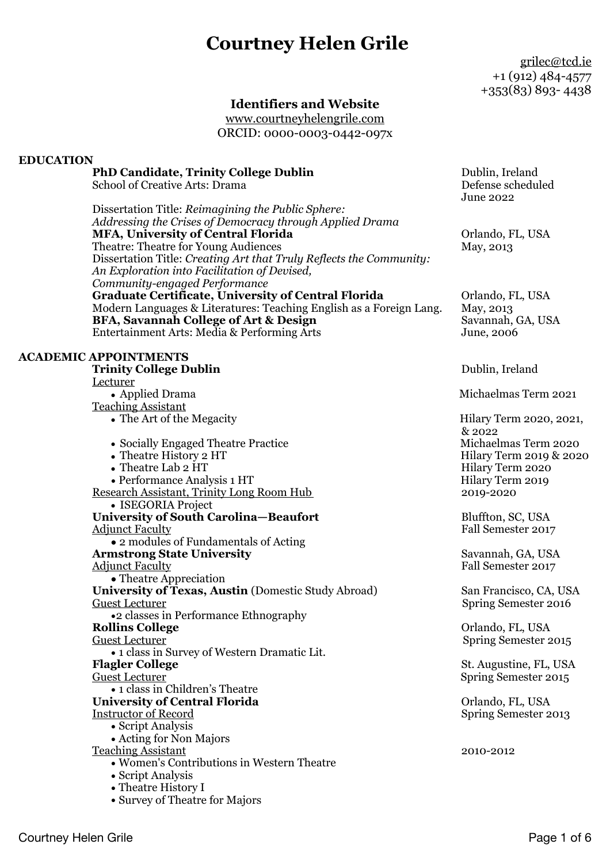# **Courtney Helen Grile**

[grilec@tcd.ie](mailto:chgrile13@gmail.com) +1 (912) 484-4577 +353(83) 893- 4438

# **Identifiers and Website**

[www.courtneyhelengrile.com](http://www.courtneyhelengrile.com) ORCID: 0000-0003-0442-097x

### **EDUCATION**

### **PhD Candidate, Trinity College Dublin** Dublin, Ireland School of Creative Arts: Drama Defense scheduled June 2022 Dissertation Title: *Reimagining the Public Sphere: Addressing the Crises of Democracy through Applied Drama* **MFA, University of Central Florida CENTER COMPUTER** Orlando, FL, USA Theatre: Theatre for Young Audiences May, 2013 Dissertation Title: *Creating Art that Truly Reflects the Community: An Exploration into Facilitation of Devised, Community-engaged Performance* Graduate Certificate, University of Central Florida Orlando, FL, USA Modern Languages & Literatures: Teaching English as a Foreign Lang. May, 2013 **BFA, Savannah College of Art & Design Savannah, GA, USA** Entertainment Arts: Media & Performing Arts June, 2006 **ACADEMIC APPOINTMENTS Trinity College Dublin** Dublin, Ireland Lecturer **•** Applied DramaMichaelmas Term 2021 Teaching Assistant • The Art of the Megacity **•** The Art of the Megacity **Figure 10.2020**, 2021, **•** Socially Engaged Theatre PracticeMichaelmas Term 2020 • Theatre History 2 HT Hilary Term 2019 & 2020<br>
• Theatre Lab 2 HT Hilary Term 2020 **•** Theatre Lab 2 HT Hilary Term 2020 • Performance Analysis 1 HT<br>
earch Assistant, Trinity Long Room Hub 2019-2020 Research Assistant, Trinity Long Room Hub **•** ISEGORIA Project **University of South Carolina—Beaufort Figure Bluffton, SC, USA** Adjunct Faculty Fall Semester 2017 **•** 2 modules of Fundamentals of Acting **Armstrong State University** Savannah, GA, USA Adjunct Faculty **Faculty Faculty Faculty Fall Semester 2017 •** Theatre Appreciation **University of Texas, Austin (Domestic Study Abroad) San Francisco, CA, USA** Guest Lecturer Spring Semester 2016 •2 classes in Performance Ethnography<br>Rollins College Orlando, FL, USA Guest Lecturer *Currence Currence Currence Currence Currence Currence Currence Currence Currence Currence Currence Currence Currence Currence Currence Currence Currence Currence Currence Currence Currence Currence Currenc* • 1 class in Survey of Western Dramatic Lit. **Flagler College** St. Augustine, FL, USA Guest Lecturer *Currence Currence Currence Currence Currence Currence Currence Currence Currence Currence Currence Currence Currence Currence Currence Currence Currence Currence Currence Currence Currence Currence Currenc* • 1 class in Children's Theatre **University of Central Florida Cancel Control Control Control Control Control Control Control Control Control Control Control Control Control Control Control Control Control Control Control Control Control Control Contro** Instructor of Record Spring Semester 2013 • Script Analysis • Acting for Non Majors Teaching Assistant 2010-2012 • Women's Contributions in Western Theatre • Script Analysis • Theatre History I • Survey of Theatre for Majors & 2022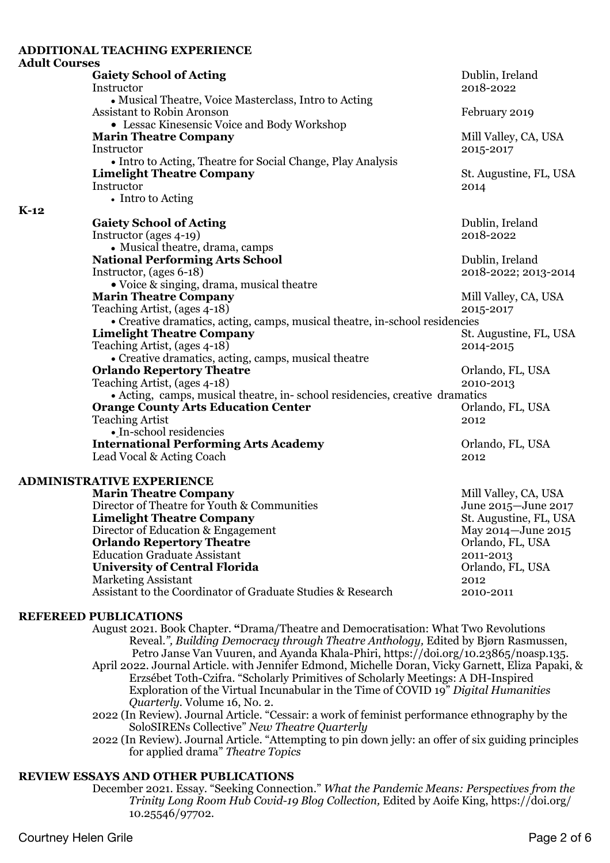|                      | <b>ADDITIONAL TEACHING EXPERIENCE</b>                                                                                              |                                   |
|----------------------|------------------------------------------------------------------------------------------------------------------------------------|-----------------------------------|
| <b>Adult Courses</b> |                                                                                                                                    |                                   |
|                      | <b>Gaiety School of Acting</b>                                                                                                     | Dublin, Ireland                   |
|                      | Instructor                                                                                                                         | 2018-2022                         |
|                      | • Musical Theatre, Voice Masterclass, Intro to Acting<br>Assistant to Robin Aronson<br>• Lessac Kinesensic Voice and Body Workshop | February 2019                     |
|                      | <b>Marin Theatre Company</b><br>Instructor                                                                                         | Mill Valley, CA, USA<br>2015-2017 |
|                      | • Intro to Acting, Theatre for Social Change, Play Analysis                                                                        |                                   |
|                      | <b>Limelight Theatre Company</b><br>Instructor<br>• Intro to Acting                                                                | St. Augustine, FL, USA<br>2014    |
| $K-12$               |                                                                                                                                    |                                   |
|                      | <b>Gaiety School of Acting</b>                                                                                                     | Dublin, Ireland                   |
|                      | Instructor (ages 4-19)<br>• Musical theatre, drama, camps                                                                          | 2018-2022                         |
|                      | <b>National Performing Arts School</b>                                                                                             | Dublin, Ireland                   |
|                      | Instructor, (ages 6-18)                                                                                                            | 2018-2022; 2013-2014              |
|                      | • Voice & singing, drama, musical theatre                                                                                          |                                   |
|                      | <b>Marin Theatre Company</b>                                                                                                       | Mill Valley, CA, USA              |
|                      | Teaching Artist, (ages 4-18)                                                                                                       | 2015-2017                         |
|                      | • Creative dramatics, acting, camps, musical theatre, in-school residencies                                                        |                                   |
|                      | <b>Limelight Theatre Company</b>                                                                                                   | St. Augustine, FL, USA            |
|                      | Teaching Artist, (ages 4-18)                                                                                                       | 2014-2015                         |
|                      | • Creative dramatics, acting, camps, musical theatre                                                                               |                                   |
|                      | <b>Orlando Repertory Theatre</b>                                                                                                   | Orlando, FL, USA                  |
|                      | Teaching Artist, (ages 4-18)                                                                                                       | 2010-2013                         |
|                      | • Acting, camps, musical theatre, in-school residencies, creative dramatics                                                        |                                   |
|                      | <b>Orange County Arts Education Center</b>                                                                                         | Orlando, FL, USA                  |
|                      | <b>Teaching Artist</b>                                                                                                             | 2012                              |
|                      | • In-school residencies                                                                                                            |                                   |
|                      | <b>International Performing Arts Academy</b>                                                                                       | Orlando, FL, USA                  |
|                      | Lead Vocal & Acting Coach                                                                                                          | 2012                              |
|                      | <b>ADMINISTRATIVE EXPERIENCE</b>                                                                                                   |                                   |
|                      | <b>Marin Theatre Company</b>                                                                                                       | Mill Valley, CA, USA              |

Director of Theatre for Youth & Communities June 2015—June 2017 **Limelight Theatre Company** St. Augustine, FL, USA Director of Education & Engagement May 2014—June 2015 **Orlando Repertory Theatre Orlando, FL, USA** Education Graduate Assistant 2011-2013 **University of Central Florida Cancel Control Control Control Control Control Control Control Control Control Control Control Control Control Control Control Control Control Control Control Control Control Control Contro** Marketing Assistant 2012 Assistant to the Coordinator of Graduate Studies & Research 2010-2011

### **REFEREED PUBLICATIONS**

- August 2021. Book Chapter. **"**Drama/Theatre and Democratisation: What Two Revolutions Reveal.*", Building Democracy through Theatre Anthology,* Edited by Bjørn Rasmussen, Petro Janse Van Vuuren, and Ayanda Khala-Phiri, https://doi.org/10.23865/noasp.135. April 2022. Journal Article. with Jennifer Edmond, Michelle Doran, Vicky Garnett, Eliza Papaki, & Erzsébet Toth-Czifra. "Scholarly Primitives of Scholarly Meetings: A DH-Inspired Exploration of the Virtual Incunabular in the Time of COVID 19" *Digital Humanities Quarterly.* Volume 16, No. 2.
- 2022 (In Review). Journal Article. "Cessair: a work of feminist performance ethnography by the SoloSIRENs Collective" *New Theatre Quarterly*
- 2022 (In Review). Journal Article. "Attempting to pin down jelly: an offer of six guiding principles for applied drama" *Theatre Topics*

#### **REVIEW ESSAYS AND OTHER PUBLICATIONS**

December 2021. Essay. "Seeking Connection." *What the Pandemic Means: Perspectives from the Trinity Long Room Hub Covid-19 Blog Collection,* Edited by Aoife King, https://doi.org/ 10.25546/97702.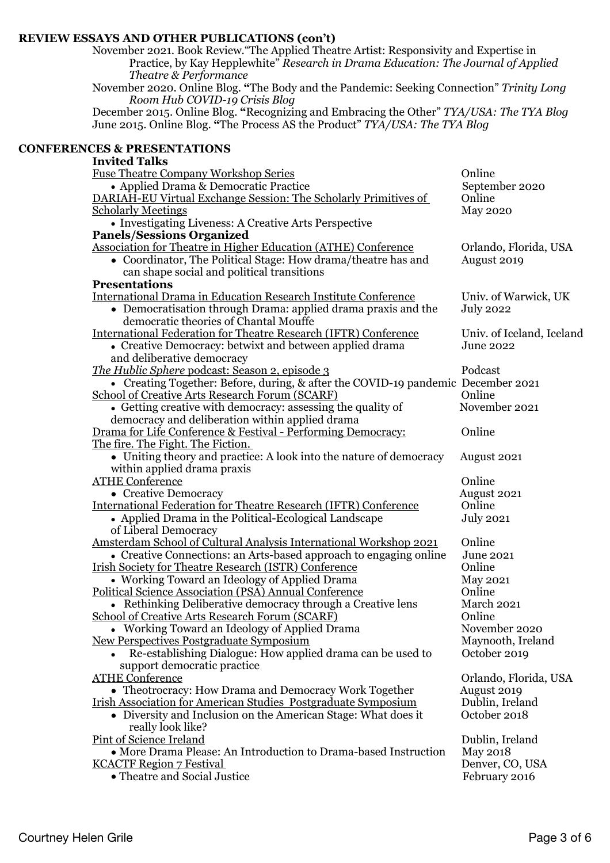### **REVIEW ESSAYS AND OTHER PUBLICATIONS (con't)**

November 2021. Book Review."The Applied Theatre Artist: Responsivity and Expertise in Practice, by Kay Hepplewhite" *Research in Drama Education: The Journal of Applied Theatre & Performance*

November 2020. Online Blog. **"**The Body and the Pandemic: Seeking Connection" *Trinity Long Room Hub COVID-19 Crisis Blog*

December 2015. Online Blog. **"**Recognizing and Embracing the Other" *TYA/USA: The TYA Blog* June 2015. Online Blog. **"**The Process AS the Product" *TYA/USA: The TYA Blog*

### **CONFERENCES & PRESENTATIONS**

| <b>Invited Talks</b>                                                             |                           |
|----------------------------------------------------------------------------------|---------------------------|
| <b>Fuse Theatre Company Workshop Series</b>                                      | Online                    |
| • Applied Drama & Democratic Practice                                            | September 2020            |
| DARIAH-EU Virtual Exchange Session: The Scholarly Primitives of                  | Online                    |
| <b>Scholarly Meetings</b>                                                        | <b>May 2020</b>           |
| • Investigating Liveness: A Creative Arts Perspective                            |                           |
| <b>Panels/Sessions Organized</b>                                                 |                           |
| <b>Association for Theatre in Higher Education (ATHE) Conference</b>             | Orlando, Florida, USA     |
| • Coordinator, The Political Stage: How drama/theatre has and                    | August 2019               |
| can shape social and political transitions                                       |                           |
| <b>Presentations</b>                                                             |                           |
| <b>International Drama in Education Research Institute Conference</b>            | Univ. of Warwick, UK      |
| • Democratisation through Drama: applied drama praxis and the                    | <b>July 2022</b>          |
| democratic theories of Chantal Mouffe                                            |                           |
| <b>International Federation for Theatre Research (IFTR) Conference</b>           | Univ. of Iceland, Iceland |
| • Creative Democracy: betwixt and between applied drama                          | <b>June 2022</b>          |
| and deliberative democracy                                                       |                           |
| The Hublic Sphere podcast: Season 2, episode 3                                   | Podcast                   |
| • Creating Together: Before, during, & after the COVID-19 pandemic December 2021 |                           |
| <b>School of Creative Arts Research Forum (SCARF)</b>                            | Online                    |
| • Getting creative with democracy: assessing the quality of                      | November 2021             |
| democracy and deliberation within applied drama                                  |                           |
| Drama for Life Conference & Festival - Performing Democracy:                     | Online                    |
| The fire. The Fight. The Fiction.                                                |                           |
| • Uniting theory and practice: A look into the nature of democracy               | August 2021               |
| within applied drama praxis                                                      |                           |
| <b>ATHE Conference</b>                                                           | Online                    |
| • Creative Democracy                                                             | August 2021               |
| <b>International Federation for Theatre Research (IFTR) Conference</b>           | Online                    |
| • Applied Drama in the Political-Ecological Landscape                            | <b>July 2021</b>          |
| of Liberal Democracy                                                             |                           |
| Amsterdam School of Cultural Analysis International Workshop 2021                | Online                    |
| • Creative Connections: an Arts-based approach to engaging online                | June 2021                 |
| <b>Irish Society for Theatre Research (ISTR) Conference</b>                      | Online                    |
| • Working Toward an Ideology of Applied Drama                                    | <b>May 2021</b>           |
| Political Science Association (PSA) Annual Conference                            | Online                    |
| • Rethinking Deliberative democracy through a Creative lens                      | March 2021                |
| <b>School of Creative Arts Research Forum (SCARF)</b>                            | Online                    |
| • Working Toward an Ideology of Applied Drama                                    | November 2020             |
| New Perspectives Postgraduate Symposium                                          | Maynooth, Ireland         |
| Re-establishing Dialogue: How applied drama can be used to                       | October 2019              |
| support democratic practice                                                      |                           |
| <b>ATHE Conference</b>                                                           | Orlando, Florida, USA     |
| • Theotrocracy: How Drama and Democracy Work Together                            | August 2019               |
| <b>Irish Association for American Studies Postgraduate Symposium</b>             | Dublin, Ireland           |
| • Diversity and Inclusion on the American Stage: What does it                    | October 2018              |
|                                                                                  |                           |
| really look like?<br><b>Pint of Science Ireland</b>                              |                           |
| • More Drama Please: An Introduction to Drama-based Instruction                  | Dublin, Ireland           |
|                                                                                  | <b>May 2018</b>           |
| <b>KCACTF Region 7 Festival</b>                                                  | Denver, CO, USA           |

• Theatre and Social Justice February 2016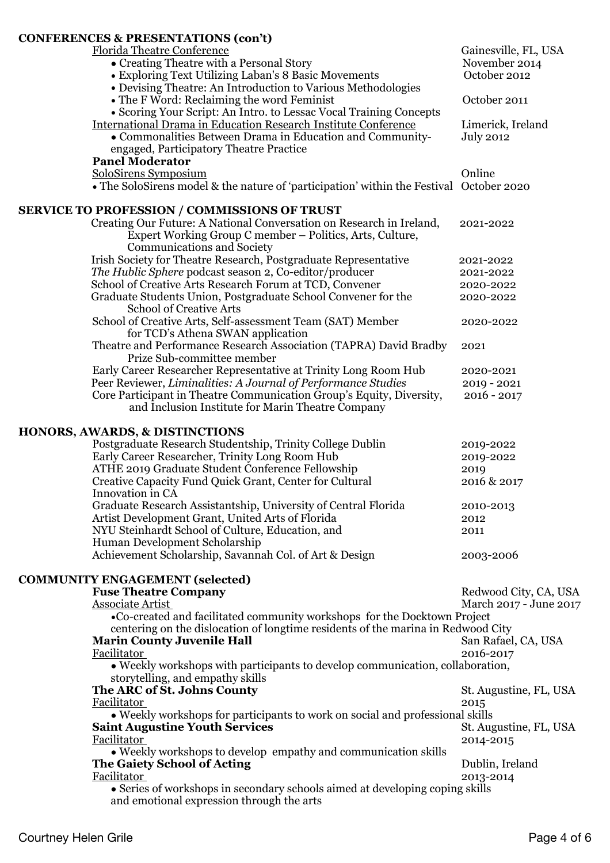# **CONFERENCES & PRESENTATIONS (con't)**

| CONFERENCES & PRESENTATIONS (COILT)                                                     |                        |
|-----------------------------------------------------------------------------------------|------------------------|
| <b>Florida Theatre Conference</b>                                                       | Gainesville, FL, USA   |
| • Creating Theatre with a Personal Story                                                | November 2014          |
| • Exploring Text Utilizing Laban's 8 Basic Movements                                    | October 2012           |
| • Devising Theatre: An Introduction to Various Methodologies                            |                        |
| • The F Word: Reclaiming the word Feminist                                              | October 2011           |
| • Scoring Your Script: An Intro. to Lessac Vocal Training Concepts                      |                        |
|                                                                                         |                        |
| <b>International Drama in Education Research Institute Conference</b>                   | Limerick, Ireland      |
| • Commonalities Between Drama in Education and Community-                               | <b>July 2012</b>       |
| engaged, Participatory Theatre Practice                                                 |                        |
| <b>Panel Moderator</b>                                                                  |                        |
| SoloSirens Symposium                                                                    | Online                 |
| • The SoloSirens model & the nature of 'participation' within the Festival October 2020 |                        |
|                                                                                         |                        |
| <b>SERVICE TO PROFESSION / COMMISSIONS OF TRUST</b>                                     |                        |
| Creating Our Future: A National Conversation on Research in Ireland,                    | 2021-2022              |
| Expert Working Group C member – Politics, Arts, Culture,                                |                        |
| <b>Communications and Society</b>                                                       |                        |
| Irish Society for Theatre Research, Postgraduate Representative                         | 2021-2022              |
| The Hublic Sphere podcast season 2, Co-editor/producer                                  | 2021-2022              |
| School of Creative Arts Research Forum at TCD, Convener                                 | 2020-2022              |
| Graduate Students Union, Postgraduate School Convener for the                           | 2020-2022              |
| <b>School of Creative Arts</b>                                                          |                        |
| School of Creative Arts, Self-assessment Team (SAT) Member                              | 2020-2022              |
| for TCD's Athena SWAN application                                                       |                        |
| Theatre and Performance Research Association (TAPRA) David Bradby                       | 2021                   |
| Prize Sub-committee member                                                              |                        |
| Early Career Researcher Representative at Trinity Long Room Hub                         |                        |
|                                                                                         | 2020-2021              |
| Peer Reviewer, Liminalities: A Journal of Performance Studies                           | $2019 - 2021$          |
| Core Participant in Theatre Communication Group's Equity, Diversity,                    | $2016 - 2017$          |
| and Inclusion Institute for Marin Theatre Company                                       |                        |
| <b>HONORS, AWARDS, &amp; DISTINCTIONS</b>                                               |                        |
| Postgraduate Research Studentship, Trinity College Dublin                               |                        |
|                                                                                         | 2019-2022              |
| Early Career Researcher, Trinity Long Room Hub                                          | 2019-2022              |
| ATHE 2019 Graduate Student Conference Fellowship                                        | 2019                   |
| Creative Capacity Fund Quick Grant, Center for Cultural                                 | 2016 & 2017            |
| Innovation in CA                                                                        |                        |
| Graduate Research Assistantship, University of Central Florida                          | 2010-2013              |
| Artist Development Grant, United Arts of Florida                                        | 2012                   |
| NYU Steinhardt School of Culture, Education, and                                        | 2011                   |
| Human Development Scholarship                                                           |                        |
| Achievement Scholarship, Savannah Col. of Art & Design                                  | 2003-2006              |
|                                                                                         |                        |
| <b>COMMUNITY ENGAGEMENT (selected)</b>                                                  |                        |
| <b>Fuse Theatre Company</b>                                                             | Redwood City, CA, USA  |
| Associate Artist                                                                        | March 2017 - June 2017 |
| •Co-created and facilitated community workshops for the Docktown Project                |                        |
| centering on the dislocation of longtime residents of the marina in Redwood City        |                        |
| <b>Marin County Juvenile Hall</b>                                                       | San Rafael, CA, USA    |
| Facilitator                                                                             | 2016-2017              |
| • Weekly workshops with participants to develop communication, collaboration,           |                        |
| storytelling, and empathy skills                                                        |                        |
| The ARC of St. Johns County                                                             | St. Augustine, FL, USA |
| Facilitator                                                                             | 2015                   |
| • Weekly workshops for participants to work on social and professional skills           |                        |
|                                                                                         |                        |
| <b>Saint Augustine Youth Services</b>                                                   | St. Augustine, FL, USA |
| Facilitator                                                                             | 2014-2015              |
| • Weekly workshops to develop empathy and communication skills                          |                        |
| The Gaiety School of Acting                                                             | Dublin, Ireland        |
| Facilitator                                                                             | 2013-2014              |
| • Series of workshops in secondary schools aimed at developing coping skills            |                        |
| and emotional expression through the arts                                               |                        |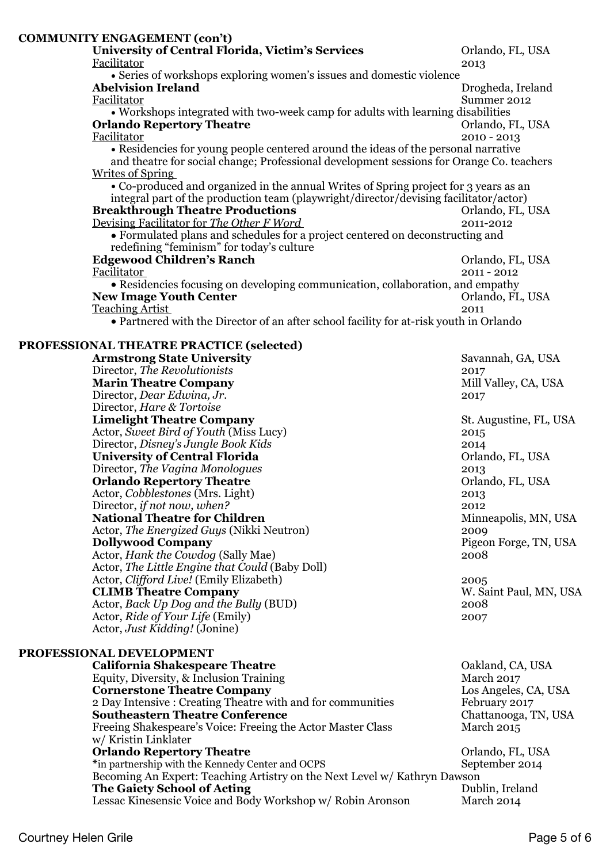| <b>COMMUNITY ENGAGEMENT (con't)</b>                                                    |                                                                                                                            |  |  |  |
|----------------------------------------------------------------------------------------|----------------------------------------------------------------------------------------------------------------------------|--|--|--|
| <b>University of Central Florida, Victim's Services</b>                                | Orlando, FL, USA                                                                                                           |  |  |  |
| Facilitator                                                                            | 2013                                                                                                                       |  |  |  |
| • Series of workshops exploring women's issues and domestic violence                   |                                                                                                                            |  |  |  |
| <b>Abelvision Ireland</b>                                                              | Drogheda, Ireland                                                                                                          |  |  |  |
| Facilitator                                                                            | Summer 2012                                                                                                                |  |  |  |
|                                                                                        | • Workshops integrated with two-week camp for adults with learning disabilities                                            |  |  |  |
| <b>Orlando Repertory Theatre</b>                                                       | Orlando, FL, USA                                                                                                           |  |  |  |
| Facilitator                                                                            | $2010 - 2013$                                                                                                              |  |  |  |
| • Residencies for young people centered around the ideas of the personal narrative     |                                                                                                                            |  |  |  |
|                                                                                        | and theatre for social change; Professional development sessions for Orange Co. teachers<br><b>Writes of Spring</b>        |  |  |  |
|                                                                                        |                                                                                                                            |  |  |  |
| • Co-produced and organized in the annual Writes of Spring project for 3 years as an   |                                                                                                                            |  |  |  |
| integral part of the production team (playwright/director/devising facilitator/actor)  |                                                                                                                            |  |  |  |
| <b>Breakthrough Theatre Productions</b>                                                | Orlando, FL, USA                                                                                                           |  |  |  |
| Devising Facilitator for The Other F Word                                              | 2011-2012                                                                                                                  |  |  |  |
|                                                                                        | • Formulated plans and schedules for a project centered on deconstructing and<br>redefining "feminism" for today's culture |  |  |  |
|                                                                                        |                                                                                                                            |  |  |  |
| <b>Edgewood Children's Ranch</b>                                                       | Orlando, FL, USA                                                                                                           |  |  |  |
| Facilitator                                                                            | 2011 - 2012                                                                                                                |  |  |  |
| • Residencies focusing on developing communication, collaboration, and empathy         |                                                                                                                            |  |  |  |
| <b>New Image Youth Center</b>                                                          | Orlando, FL, USA                                                                                                           |  |  |  |
| <b>Teaching Artist</b>                                                                 | 2011                                                                                                                       |  |  |  |
| • Partnered with the Director of an after school facility for at-risk youth in Orlando |                                                                                                                            |  |  |  |
| PROFESSIONAL THEATRE PRACTICE (selected)                                               |                                                                                                                            |  |  |  |
| <b>Armstrong State University</b>                                                      | Savannah, GA, USA                                                                                                          |  |  |  |
| Director, The Revolutionists                                                           | 2017                                                                                                                       |  |  |  |
| <b>Marin Theatre Company</b>                                                           | Mill Valley, CA, USA                                                                                                       |  |  |  |
| Director, Dear Edwina, Jr.                                                             | 2017                                                                                                                       |  |  |  |
| Director, Hare & Tortoise                                                              |                                                                                                                            |  |  |  |
| <b>Limelight Theatre Company</b>                                                       | St. Augustine, FL, USA                                                                                                     |  |  |  |
| Actor, Sweet Bird of Youth (Miss Lucy)                                                 | 2015                                                                                                                       |  |  |  |

Director, *Disney's Jungle Book Kids* 2014<br>
2014 Chi**versity of Central Florida** 2015 **University of Central Florida** Director, *The Vagina Monologues* 2013<br>
2013 Crlando Repertory Theatre 2015 **Orlando Repertory Theatre** Actor, *Cobblestones* (Mrs. Light) 2013 Director, *if not now, when?* 2012 **National Theatre for Children** Minneapolis, MN, USA Actor, *The Energized Guys* (Nikki Neutron) 2009<br> **Dollywood Company** Pigeo Pigeon Forge, TN, USA<br>2008 Actor, *Hank the Cowdog* (Sally Mae) Actor, *The Little Engine that Could* (Baby Doll) Actor, *Clifford Live!* (Emily Elizabeth) 2005<br> **CLIMB Theatre Company** W. Saint Paul, MN, USA **CLIMB Theatre Company** Actor, *Back Up Dog and the Bully* (BUD) 2008 Actor, *Ride of Your Life* (Emily) 2007

# **PROFESSIONAL DEVELOPMENT**

Actor, *Just Kidding!* (Jonine)

| <b>California Shakespeare Theatre</b>                                     | Oakland, CA, USA     |
|---------------------------------------------------------------------------|----------------------|
| Equity, Diversity, & Inclusion Training                                   | March 2017           |
| <b>Cornerstone Theatre Company</b>                                        | Los Angeles, CA, USA |
| 2 Day Intensive: Creating Theatre with and for communities                | February 2017        |
| <b>Southeastern Theatre Conference</b>                                    | Chattanooga, TN, USA |
| Freeing Shakespeare's Voice: Freeing the Actor Master Class               | <b>March 2015</b>    |
| w/ Kristin Linklater                                                      |                      |
| <b>Orlando Repertory Theatre</b>                                          | Orlando, FL, USA     |
| *in partnership with the Kennedy Center and OCPS                          | September 2014       |
| Becoming An Expert: Teaching Artistry on the Next Level w/ Kathryn Dawson |                      |
| The Gaiety School of Acting                                               | Dublin, Ireland      |
| Lessac Kinesensic Voice and Body Workshop w/ Robin Aronson                | March 2014           |
|                                                                           |                      |